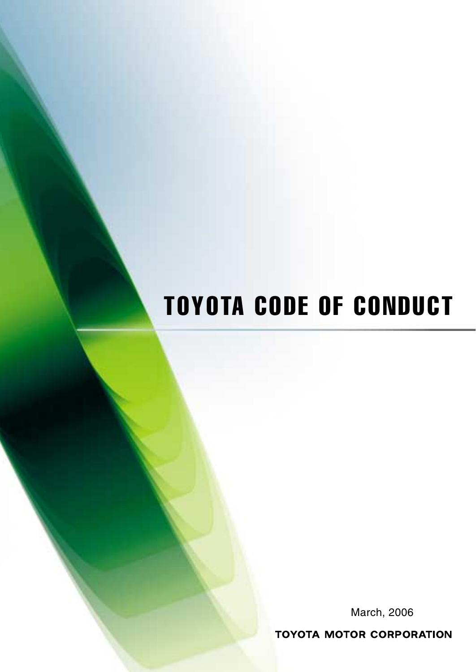# TOYOTA CODE OF CONDUCT

March, 2006

**TOYOTA MOTOR CORPORATION**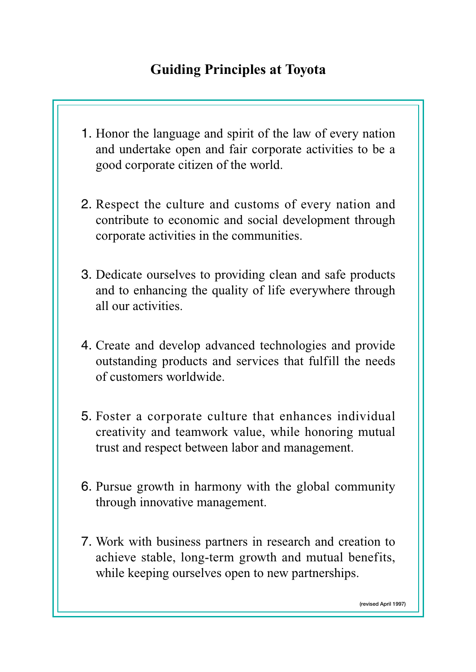# **Guiding Principles at Toyota**

- 1. Honor the language and spirit of the law of every nation and undertake open and fair corporate activities to be a good corporate citizen of the world.
- 2. Respect the culture and customs of every nation and contribute to economic and social development through corporate activities in the communities.
- 3. Dedicate ourselves to providing clean and safe products and to enhancing the quality of life everywhere through all our activities.
- 4. Create and develop advanced technologies and provide outstanding products and services that fulfill the needs of customers worldwide.
- 5. Foster a corporate culture that enhances individual creativity and teamwork value, while honoring mutual trust and respect between labor and management.
- 6. Pursue growth in harmony with the global community through innovative management.
- 7. Work with business partners in research and creation to achieve stable, long-term growth and mutual benefits, while keeping ourselves open to new partnerships.

**(revised April 1997)**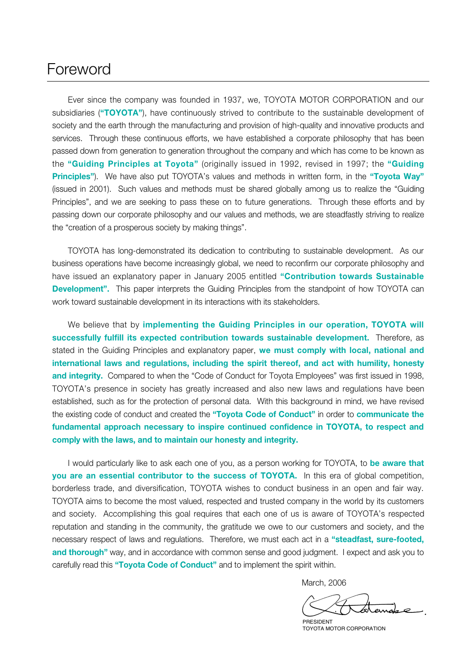# Foreword

Ever since the company was founded in 1937, we, TOYOTA MOTOR CORPORATION and our subsidiaries ("TOYOTA"), have continuously strived to contribute to the sustainable development of society and the earth through the manufacturing and provision of high-quality and innovative products and services. Through these continuous efforts, we have established a corporate philosophy that has been passed down from generation to generation throughout the company and which has come to be known as the **"Guiding Principles at Toyota"** (originally issued in 1992, revised in 1997; the **"Guiding Principles"**). We have also put TOYOTA's values and methods in written form, in the **"Toyota Way"** (issued in 2001). Such values and methods must be shared globally among us to realize the "Guiding Principles", and we are seeking to pass these on to future generations. Through these efforts and by passing down our corporate philosophy and our values and methods, we are steadfastly striving to realize the "creation of a prosperous society by making things".

TOYOTA has long-demonstrated its dedication to contributing to sustainable development. As our business operations have become increasingly global, we need to reconfirm our corporate philosophy and have issued an explanatory paper in January 2005 entitled **"Contribution towards Sustainable Development".** This paper interprets the Guiding Principles from the standpoint of how TOYOTA can work toward sustainable development in its interactions with its stakeholders.

We believe that by **implementing the Guiding Principles in our operation, TOYOTA will successfully fulfill its expected contribution towards sustainable development.** Therefore, as stated in the Guiding Principles and explanatory paper, **we must comply with local, national and international laws and regulations, including the spirit thereof, and act with humility, honesty and integrity.** Compared to when the "Code of Conduct for Toyota Employees" was first issued in 1998, TOYOTA's presence in society has greatly increased and also new laws and regulations have been established, such as for the protection of personal data. With this background in mind, we have revised the existing code of conduct and created the **"Toyota Code of Conduct"** in order to **communicate the fundamental approach necessary to inspire continued confidence in TOYOTA, to respect and comply with the laws, and to maintain our honesty and integrity.**

I would particularly like to ask each one of you, as a person working for TOYOTA, to **be aware that you are an essential contributor to the success of TOYOTA.** In this era of global competition, borderless trade, and diversification, TOYOTA wishes to conduct business in an open and fair way. TOYOTA aims to become the most valued, respected and trusted company in the world by its customers and society. Accomplishing this goal requires that each one of us is aware of TOYOTA's respected reputation and standing in the community, the gratitude we owe to our customers and society, and the necessary respect of laws and regulations. Therefore, we must each act in a **"steadfast, sure-footed, and thorough"** way, and in accordance with common sense and good judgment. I expect and ask you to carefully read this **"Toyota Code of Conduct"** and to implement the spirit within.

March, 2006

 $\overline{\phantom{a}}$ 

PRESIDENT TOYOTA MOTOR CORPORATION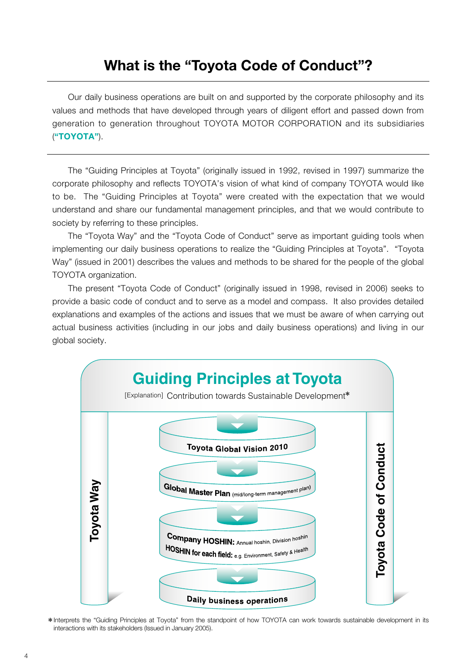# **What is the "Toyota Code of Conduct"?**

Our daily business operations are built on and supported by the corporate philosophy and its values and methods that have developed through years of diligent effort and passed down from generation to generation throughout TOYOTA MOTOR CORPORATION and its subsidiaries (**"TOYOTA"**).

The "Guiding Principles at Toyota" (originally issued in 1992, revised in 1997) summarize the corporate philosophy and reflects TOYOTA's vision of what kind of company TOYOTA would like to be. The "Guiding Principles at Toyota" were created with the expectation that we would understand and share our fundamental management principles, and that we would contribute to society by referring to these principles.

The "Toyota Way" and the "Toyota Code of Conduct" serve as important guiding tools when implementing our daily business operations to realize the "Guiding Principles at Toyota". "Toyota Way" (issued in 2001) describes the values and methods to be shared for the people of the global TOYOTA organization.

The present "Toyota Code of Conduct" (originally issued in 1998, revised in 2006) seeks to provide a basic code of conduct and to serve as a model and compass. It also provides detailed explanations and examples of the actions and issues that we must be aware of when carrying out actual business activities (including in our jobs and daily business operations) and living in our global society.



\*Interprets the "Guiding Principles at Toyota" from the standpoint of how TOYOTA can work towards sustainable development in its interactions with its stakeholders (Issued in January 2005).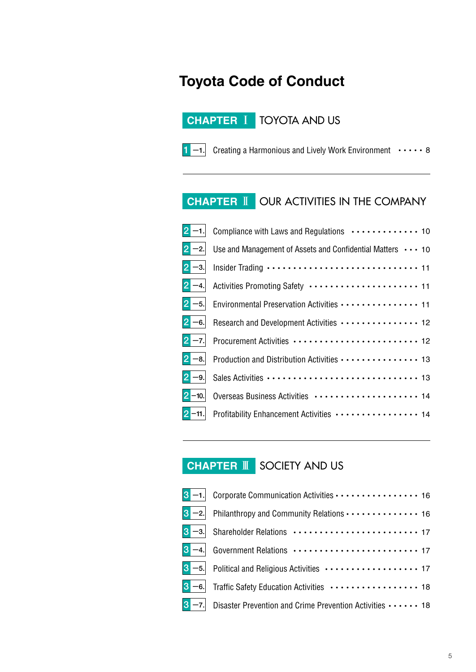# **Toyota Code of Conduct**

## **CHAPTER** ⅠTOYOTA AND US



1 -1. Creating a Harmonious and Lively Work Environment  $\cdots$ 8

# **CHAPTER** ⅡOUR ACTIVITIES IN THE COMPANY

| $ 2 - 1 $ | Compliance with Laws and Regulations  10                                                                   |
|-----------|------------------------------------------------------------------------------------------------------------|
| $ 2 -2 $  | Use and Management of Assets and Confidential Matters ••• 10                                               |
|           | $\boxed{2}$ -3. Insider Trading $\cdots$ $\cdots$ $\cdots$ $\cdots$ $\cdots$ $\cdots$ $\cdots$ $\cdots$ 11 |
| $2 - 4.$  |                                                                                                            |
|           |                                                                                                            |
| $2 - 6.$  | Research and Development Activities  12                                                                    |
| $2 - 7$ . |                                                                                                            |
| $ 2 - 8 $ | Production and Distribution Activities  13                                                                 |
| $2 - 9.$  |                                                                                                            |
| $2 - 10.$ |                                                                                                            |
|           |                                                                                                            |

# **CHAPTER** ⅢSOCIETY AND US

|           | $3 - 2$ Philanthropy and Community Relations $\cdots$ $\cdots$ $\cdots$ $\cdots$ 16        |
|-----------|--------------------------------------------------------------------------------------------|
|           |                                                                                            |
|           |                                                                                            |
|           | $\boxed{3}$ -5. Political and Religious Activities $\cdots \cdots \cdots \cdots \cdots$ 17 |
|           |                                                                                            |
| $3 - 7$ . | Disaster Prevention and Crime Prevention Activities  18                                    |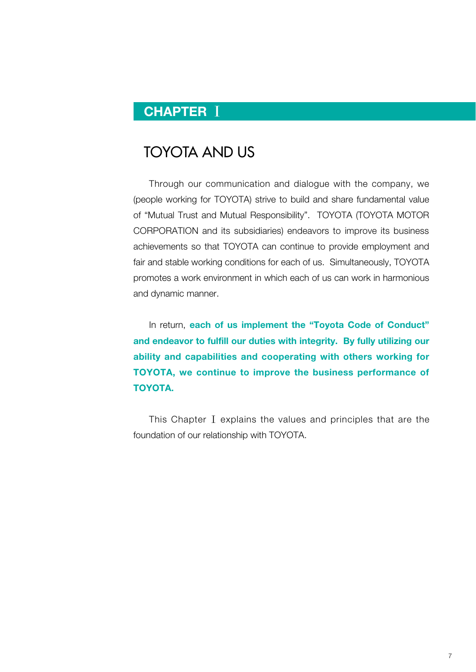# **CHAPTER** Ⅰ

# TOYOTA AND US

Through our communication and dialogue with the company, we (people working for TOYOTA) strive to build and share fundamental value of "Mutual Trust and Mutual Responsibility". TOYOTA (TOYOTA MOTOR CORPORATION and its subsidiaries) endeavors to improve its business achievements so that TOYOTA can continue to provide employment and fair and stable working conditions for each of us. Simultaneously, TOYOTA promotes a work environment in which each of us can work in harmonious and dynamic manner.

In return, **each of us implement the "Toyota Code of Conduct" and endeavor to fulfill our duties with integrity. By fully utilizing our ability and capabilities and cooperating with others working for TOYOTA, we continue to improve the business performance of TOYOTA.** 

This Chapter **Ⅰ** explains the values and principles that are the foundation of our relationship with TOYOTA.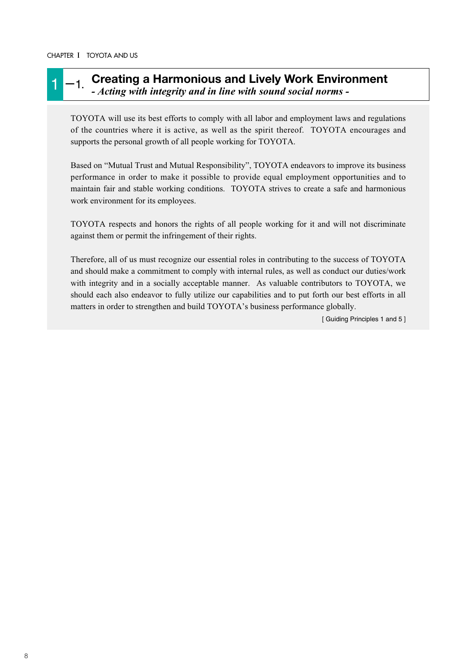#### 1 -1. **Creating a Harmonious and Lively Work Environment** *- Acting with integrity and in line with sound social norms -*

TOYOTA will use its best efforts to comply with all labor and employment laws and regulations of the countries where it is active, as well as the spirit thereof. TOYOTA encourages and supports the personal growth of all people working for TOYOTA.

Based on "Mutual Trust and Mutual Responsibility", TOYOTA endeavors to improve its business performance in order to make it possible to provide equal employment opportunities and to maintain fair and stable working conditions. TOYOTA strives to create a safe and harmonious work environment for its employees.

TOYOTA respects and honors the rights of all people working for it and will not discriminate against them or permit the infringement of their rights.

Therefore, all of us must recognize our essential roles in contributing to the success of TOYOTA and should make a commitment to comply with internal rules, as well as conduct our duties/work with integrity and in a socially acceptable manner. As valuable contributors to TOYOTA, we should each also endeavor to fully utilize our capabilities and to put forth our best efforts in all matters in order to strengthen and build TOYOTA's business performance globally.

[ Guiding Principles 1 and 5 ]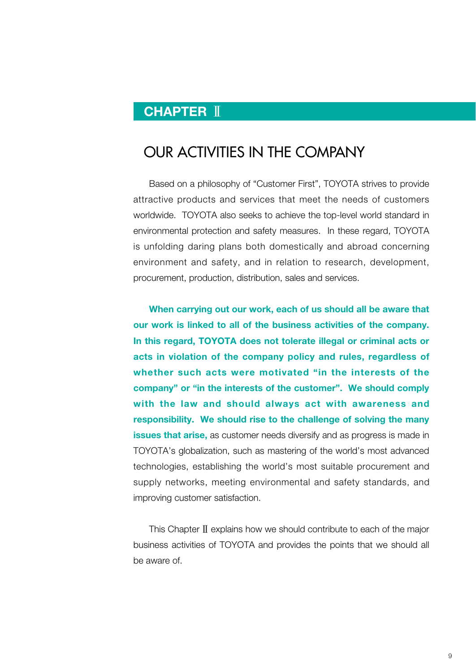# **CHAPTER** Ⅱ

# OUR ACTIVITIES IN THE COMPANY

Based on a philosophy of "Customer First", TOYOTA strives to provide attractive products and services that meet the needs of customers worldwide. TOYOTA also seeks to achieve the top-level world standard in environmental protection and safety measures. In these regard, TOYOTA is unfolding daring plans both domestically and abroad concerning environment and safety, and in relation to research, development, procurement, production, distribution, sales and services.

**When carrying out our work, each of us should all be aware that our work is linked to all of the business activities of the company. In this regard, TOYOTA does not tolerate illegal or criminal acts or acts in violation of the company policy and rules, regardless of whether such acts were motivated "in the interests of the company" or "in the interests of the customer". We should comply with the law and should always act with awareness and responsibility. We should rise to the challenge of solving the many issues that arise,** as customer needs diversify and as progress is made in TOYOTA's globalization, such as mastering of the world's most advanced technologies, establishing the world's most suitable procurement and supply networks, meeting environmental and safety standards, and improving customer satisfaction.

This Chapter**Ⅱ**explains how we should contribute to each of the major business activities of TOYOTA and provides the points that we should all be aware of.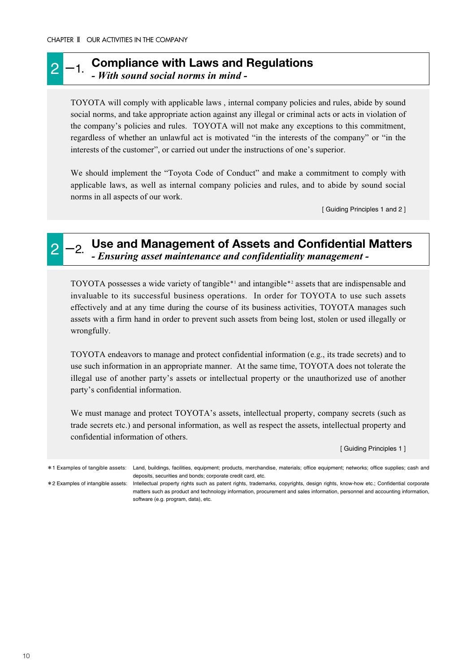#### 2 -1. Compliance with Laws and Regulations *- With sound social norms in mind -*

TOYOTA will comply with applicable laws , internal company policies and rules, abide by sound social norms, and take appropriate action against any illegal or criminal acts or acts in violation of the company's policies and rules. TOYOTA will not make any exceptions to this commitment, regardless of whether an unlawful act is motivated "in the interests of the company" or "in the interests of the customer", or carried out under the instructions of one's superior.

We should implement the "Toyota Code of Conduct" and make a commitment to comply with applicable laws, as well as internal company policies and rules, and to abide by sound social norms in all aspects of our work.

[ Guiding Principles 1 and 2 ]

### 2 -2. Use and Management of Assets and Confidential Matters *- Ensuring asset maintenance and confidentiality management -*

TOYOTA possesses a wide variety of tangible\*<sup>1</sup> and intangible\*<sup>2</sup> assets that are indispensable and invaluable to its successful business operations. In order for TOYOTA to use such assets effectively and at any time during the course of its business activities, TOYOTA manages such assets with a firm hand in order to prevent such assets from being lost, stolen or used illegally or wrongfully.

TOYOTA endeavors to manage and protect confidential information (e.g., its trade secrets) and to use such information in an appropriate manner. At the same time, TOYOTA does not tolerate the illegal use of another party's assets or intellectual property or the unauthorized use of another party's confidential information.

We must manage and protect TOYOTA's assets, intellectual property, company secrets (such as trade secrets etc.) and personal information, as well as respect the assets, intellectual property and confidential information of others.

[ Guiding Principles 1 ]

\*1 Examples of tangible assets: Land, buildings, facilities, equipment; products, merchandise, materials; office equipment; networks; office supplies; cash and deposits, securities and bonds; corporate credit card, etc.

\*2 Examples of intangible assets: Intellectual property rights such as patent rights, trademarks, copyrights, design rights, know-how etc.; Confidential corporate matters such as product and technology information, procurement and sales information, personnel and accounting information, software (e.g. program, data), etc.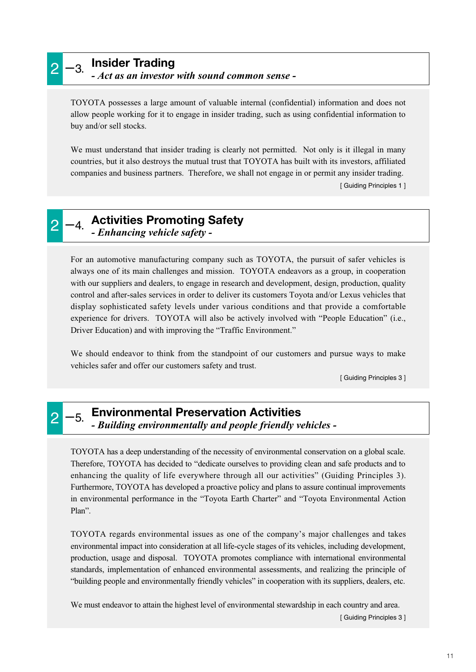# 2 -3. **Insider Trading**

*- Act as an investor with sound common sense -*

TOYOTA possesses a large amount of valuable internal (confidential) information and does not allow people working for it to engage in insider trading, such as using confidential information to buy and/or sell stocks.

We must understand that insider trading is clearly not permitted. Not only is it illegal in many countries, but it also destroys the mutual trust that TOYOTA has built with its investors, affiliated companies and business partners. Therefore, we shall not engage in or permit any insider trading.

[ Guiding Principles 1 ]

# 2 -4. Activities Promoting Safety *- Enhancing vehicle safety -*

For an automotive manufacturing company such as TOYOTA, the pursuit of safer vehicles is always one of its main challenges and mission. TOYOTA endeavors as a group, in cooperation with our suppliers and dealers, to engage in research and development, design, production, quality control and after-sales services in order to deliver its customers Toyota and/or Lexus vehicles that display sophisticated safety levels under various conditions and that provide a comfortable experience for drivers. TOYOTA will also be actively involved with "People Education" (i.e., Driver Education) and with improving the "Traffic Environment."

We should endeavor to think from the standpoint of our customers and pursue ways to make vehicles safer and offer our customers safety and trust.

[ Guiding Principles 3 ]

#### 2 -5. **Environmental Preservation Activities** *- Building environmentally and people friendly vehicles -*

TOYOTA has a deep understanding of the necessity of environmental conservation on a global scale. Therefore, TOYOTA has decided to "dedicate ourselves to providing clean and safe products and to enhancing the quality of life everywhere through all our activities" (Guiding Principles 3). Furthermore, TOYOTA has developed a proactive policy and plans to assure continual improvements in environmental performance in the "Toyota Earth Charter" and "Toyota Environmental Action Plan".

TOYOTA regards environmental issues as one of the company's major challenges and takes environmental impact into consideration at all life-cycle stages of its vehicles, including development, production, usage and disposal. TOYOTA promotes compliance with international environmental standards, implementation of enhanced environmental assessments, and realizing the principle of "building people and environmentally friendly vehicles" in cooperation with its suppliers, dealers, etc.

We must endeavor to attain the highest level of environmental stewardship in each country and area.

[ Guiding Principles 3 ]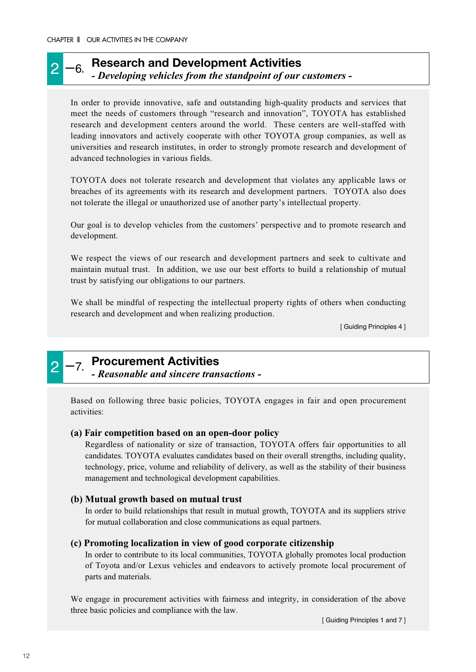### 2 -6. **Research and Development Activities** *- Developing vehicles from the standpoint of our customers -*

In order to provide innovative, safe and outstanding high-quality products and services that meet the needs of customers through "research and innovation", TOYOTA has established research and development centers around the world. These centers are well-staffed with leading innovators and actively cooperate with other TOYOTA group companies, as well as universities and research institutes, in order to strongly promote research and development of advanced technologies in various fields.

TOYOTA does not tolerate research and development that violates any applicable laws or breaches of its agreements with its research and development partners. TOYOTA also does not tolerate the illegal or unauthorized use of another party's intellectual property.

Our goal is to develop vehicles from the customers' perspective and to promote research and development.

We respect the views of our research and development partners and seek to cultivate and maintain mutual trust. In addition, we use our best efforts to build a relationship of mutual trust by satisfying our obligations to our partners.

We shall be mindful of respecting the intellectual property rights of others when conducting research and development and when realizing production.

[ Guiding Principles 4 ]



# 2 -7. **Procurement Activities**

*- Reasonable and sincere transactions -*

Based on following three basic policies, TOYOTA engages in fair and open procurement activities:

#### **(a) Fair competition based on an open-door policy**

Regardless of nationality or size of transaction, TOYOTA offers fair opportunities to all candidates. TOYOTA evaluates candidates based on their overall strengths, including quality, technology, price, volume and reliability of delivery, as well as the stability of their business management and technological development capabilities.

#### **(b) Mutual growth based on mutual trust**

In order to build relationships that result in mutual growth, TOYOTA and its suppliers strive for mutual collaboration and close communications as equal partners.

#### **(c) Promoting localization in view of good corporate citizenship**

In order to contribute to its local communities, TOYOTA globally promotes local production of Toyota and/or Lexus vehicles and endeavors to actively promote local procurement of parts and materials.

We engage in procurement activities with fairness and integrity, in consideration of the above three basic policies and compliance with the law.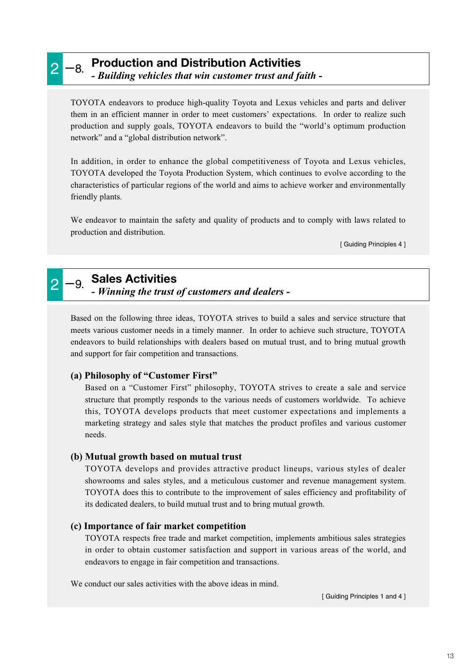## 2 -8. **Production and Distribution Activities** *- Building vehicles that win customer trust and faith -*

TOYOTA endeavors to produce high-quality Toyota and Lexus vehicles and parts and deliver them in an efficient manner in order to meet customers' expectations. In order to realize such production and supply goals, TOYOTA endeavors to build the "world's optimum production network" and a "global distribution network".

In addition, in order to enhance the global competitiveness of Toyota and Lexus vehicles, TOYOTA developed the Toyota Production System, which continues to evolve according to the characteristics of particular regions of the world and aims to achieve worker and environmentally friendly plants.

We endeavor to maintain the safety and quality of products and to comply with laws related to production and distribution.

[ Guiding Principles 4 ]

## 2 -9. **Sales Activities** *- Winning the trust of customers and dealers -*

Based on the following three ideas, TOYOTA strives to build a sales and service structure that meets various customer needs in a timely manner. In order to achieve such structure, TOYOTA endeavors to build relationships with dealers based on mutual trust, and to bring mutual growth and support for fair competition and transactions.

#### **(a) Philosophy of "Customer First"**

Based on a "Customer First" philosophy, TOYOTA strives to create a sale and service structure that promptly responds to the various needs of customers worldwide. To achieve this, TOYOTA develops products that meet customer expectations and implements a marketing strategy and sales style that matches the product profiles and various customer needs.

#### **(b) Mutual growth based on mutual trust**

TOYOTA develops and provides attractive product lineups, various styles of dealer showrooms and sales styles, and a meticulous customer and revenue management system. TOYOTA does this to contribute to the improvement of sales efficiency and profitability of its dedicated dealers, to build mutual trust and to bring mutual growth.

#### **(c) Importance of fair market competition**

TOYOTA respects free trade and market competition, implements ambitious sales strategies in order to obtain customer satisfaction and support in various areas of the world, and endeavors to engage in fair competition and transactions.

We conduct our sales activities with the above ideas in mind.

[ Guiding Principles 1 and 4 ]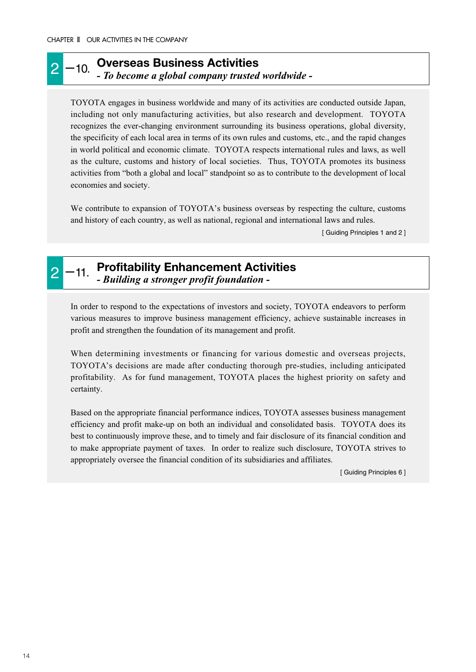### 2 -10. Overseas Business Activities *- To become a global company trusted worldwide -*

TOYOTA engages in business worldwide and many of its activities are conducted outside Japan, including not only manufacturing activities, but also research and development. TOYOTA recognizes the ever-changing environment surrounding its business operations, global diversity, the specificity of each local area in terms of its own rules and customs, etc., and the rapid changes in world political and economic climate. TOYOTA respects international rules and laws, as well as the culture, customs and history of local societies. Thus, TOYOTA promotes its business activities from "both a global and local" standpoint so as to contribute to the development of local economies and society.

We contribute to expansion of TOYOTA's business overseas by respecting the culture, customs and history of each country, as well as national, regional and international laws and rules.

[ Guiding Principles 1 and 2 ]

#### 2 -11. Profitability Enhancement Activities *- Building a stronger profit foundation -*

In order to respond to the expectations of investors and society, TOYOTA endeavors to perform various measures to improve business management efficiency, achieve sustainable increases in profit and strengthen the foundation of its management and profit.

When determining investments or financing for various domestic and overseas projects, TOYOTA's decisions are made after conducting thorough pre-studies, including anticipated profitability. As for fund management, TOYOTA places the highest priority on safety and certainty.

Based on the appropriate financial performance indices, TOYOTA assesses business management efficiency and profit make-up on both an individual and consolidated basis. TOYOTA does its best to continuously improve these, and to timely and fair disclosure of its financial condition and to make appropriate payment of taxes. In order to realize such disclosure, TOYOTA strives to appropriately oversee the financial condition of its subsidiaries and affiliates.

[ Guiding Principles 6 ]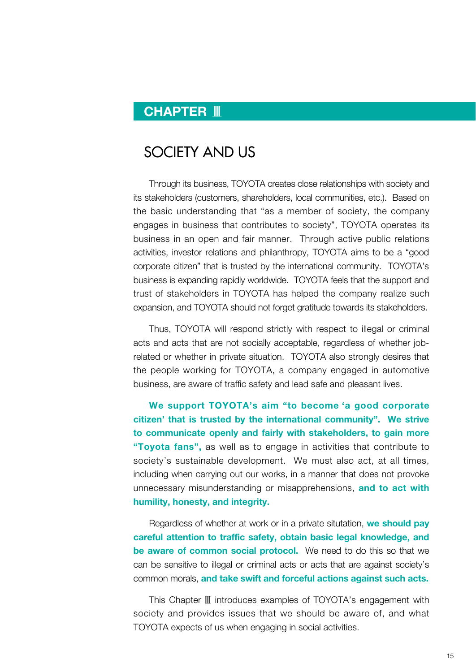# **CHAPTER** Ⅲ

# SOCIETY AND US

Through its business, TOYOTA creates close relationships with society and its stakeholders (customers, shareholders, local communities, etc.). Based on the basic understanding that "as a member of society, the company engages in business that contributes to society", TOYOTA operates its business in an open and fair manner. Through active public relations activities, investor relations and philanthropy, TOYOTA aims to be a "good corporate citizen" that is trusted by the international community. TOYOTA's business is expanding rapidly worldwide. TOYOTA feels that the support and trust of stakeholders in TOYOTA has helped the company realize such expansion, and TOYOTA should not forget gratitude towards its stakeholders.

Thus, TOYOTA will respond strictly with respect to illegal or criminal acts and acts that are not socially acceptable, regardless of whether jobrelated or whether in private situation. TOYOTA also strongly desires that the people working for TOYOTA, a company engaged in automotive business, are aware of traffic safety and lead safe and pleasant lives.

**We support TOYOTA's aim "to become 'a good corporate citizen' that is trusted by the international community". We strive to communicate openly and fairly with stakeholders, to gain more "Toyota fans",** as well as to engage in activities that contribute to society's sustainable development. We must also act, at all times, including when carrying out our works, in a manner that does not provoke unnecessary misunderstanding or misapprehensions, **and to act with humility, honesty, and integrity.**

Regardless of whether at work or in a private situtation, **we should pay careful attention to traffic safety, obtain basic legal knowledge, and be aware of common social protocol.** We need to do this so that we can be sensitive to illegal or criminal acts or acts that are against society's common morals, **and take swift and forceful actions against such acts.**

This Chapter **Ⅲ** introduces examples of TOYOTA's engagement with society and provides issues that we should be aware of, and what TOYOTA expects of us when engaging in social activities.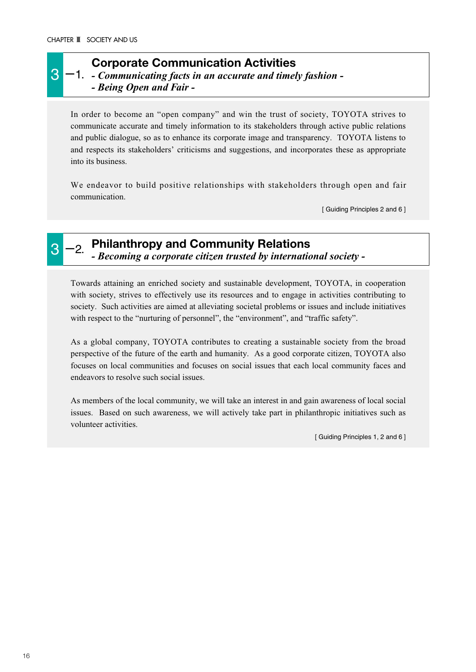### **Corporate Communication Activities**

3 <sup>-1</sup> - *Communicating facts in an accurate and timely fashion* -*- Being Open and Fair -*

In order to become an "open company" and win the trust of society, TOYOTA strives to communicate accurate and timely information to its stakeholders through active public relations and public dialogue, so as to enhance its corporate image and transparency. TOYOTA listens to and respects its stakeholders' criticisms and suggestions, and incorporates these as appropriate into its business.

We endeavor to build positive relationships with stakeholders through open and fair communication.

[ Guiding Principles 2 and 6 ]



3 -2. **Philanthropy and Community Relations** *- Becoming a corporate citizen trusted by international society -*

Towards attaining an enriched society and sustainable development, TOYOTA, in cooperation with society, strives to effectively use its resources and to engage in activities contributing to society. Such activities are aimed at alleviating societal problems or issues and include initiatives with respect to the "nurturing of personnel", the "environment", and "traffic safety".

As a global company, TOYOTA contributes to creating a sustainable society from the broad perspective of the future of the earth and humanity. As a good corporate citizen, TOYOTA also focuses on local communities and focuses on social issues that each local community faces and endeavors to resolve such social issues.

As members of the local community, we will take an interest in and gain awareness of local social issues. Based on such awareness, we will actively take part in philanthropic initiatives such as volunteer activities.

[ Guiding Principles 1, 2 and 6 ]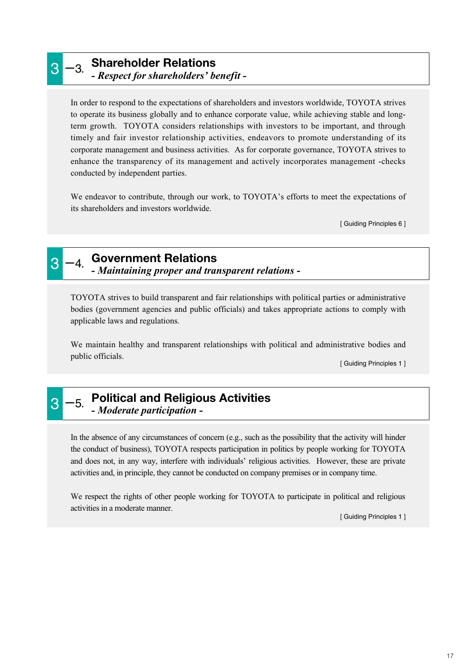### 3 -3. **Shareholder Relations** *- Respect for shareholders' benefit -*

In order to respond to the expectations of shareholders and investors worldwide, TOYOTA strives to operate its business globally and to enhance corporate value, while achieving stable and longterm growth. TOYOTA considers relationships with investors to be important, and through timely and fair investor relationship activities, endeavors to promote understanding of its corporate management and business activities. As for corporate governance, TOYOTA strives to enhance the transparency of its management and actively incorporates management -checks conducted by independent parties.

We endeavor to contribute, through our work, to TOYOTA's efforts to meet the expectations of its shareholders and investors worldwide.

[ Guiding Principles 6 ]

# 3 -4. **Government Relations**

*- Maintaining proper and transparent relations -*

TOYOTA strives to build transparent and fair relationships with political parties or administrative bodies (government agencies and public officials) and takes appropriate actions to comply with applicable laws and regulations.

We maintain healthy and transparent relationships with political and administrative bodies and public officials.

[ Guiding Principles 1 ]

## 3 -5. **Political and Religious Activities** *- Moderate participation -*

In the absence of any circumstances of concern (e.g., such as the possibility that the activity will hinder the conduct of business), TOYOTA respects participation in politics by people working for TOYOTA and does not, in any way, interfere with individuals' religious activities. However, these are private activities and, in principle, they cannot be conducted on company premises or in company time.

We respect the rights of other people working for TOYOTA to participate in political and religious activities in a moderate manner.

[ Guiding Principles 1 ]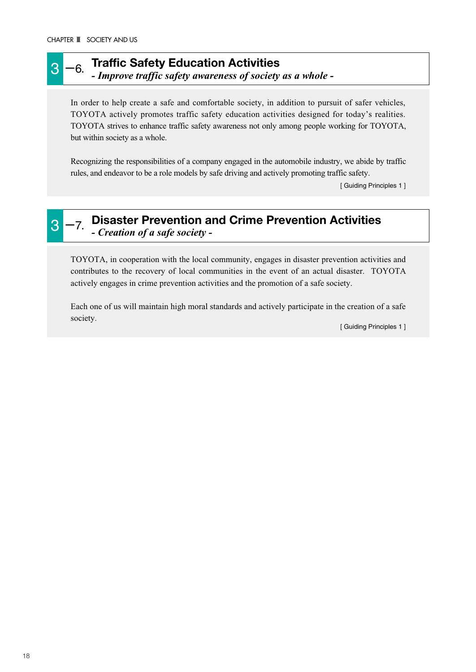#### 3 -6. **Traffic Safety Education Activities** *- Improve traffic safety awareness of society as a whole -*

In order to help create a safe and comfortable society, in addition to pursuit of safer vehicles, TOYOTA actively promotes traffic safety education activities designed for today's realities. TOYOTA strives to enhance traffic safety awareness not only among people working for TOYOTA, but within society as a whole.

Recognizing the responsibilities of a company engaged in the automobile industry, we abide by traffic rules, and endeavor to be a role models by safe driving and actively promoting traffic safety.

[ Guiding Principles 1 ]

#### 3 -7. **Disaster Prevention and Crime Prevention Activities** *- Creation of a safe society -*

TOYOTA, in cooperation with the local community, engages in disaster prevention activities and contributes to the recovery of local communities in the event of an actual disaster. TOYOTA actively engages in crime prevention activities and the promotion of a safe society.

Each one of us will maintain high moral standards and actively participate in the creation of a safe society.

[ Guiding Principles 1 ]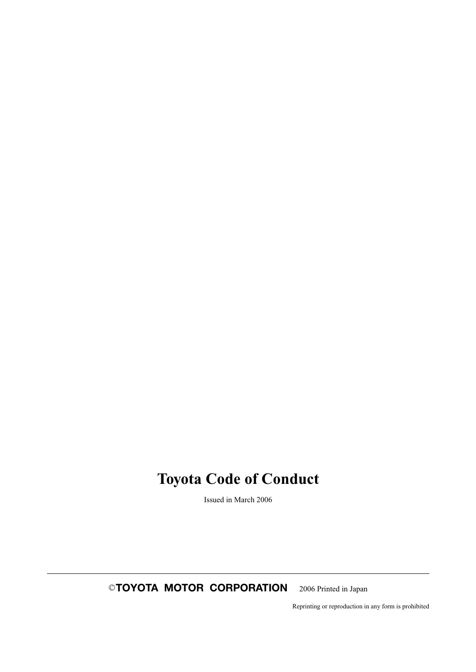# **Toyota Code of Conduct**

Issued in March 2006

©**TOYOTA MOTOR CORPORATION** 2006 Printed in Japan

Reprinting or reproduction in any form is prohibited